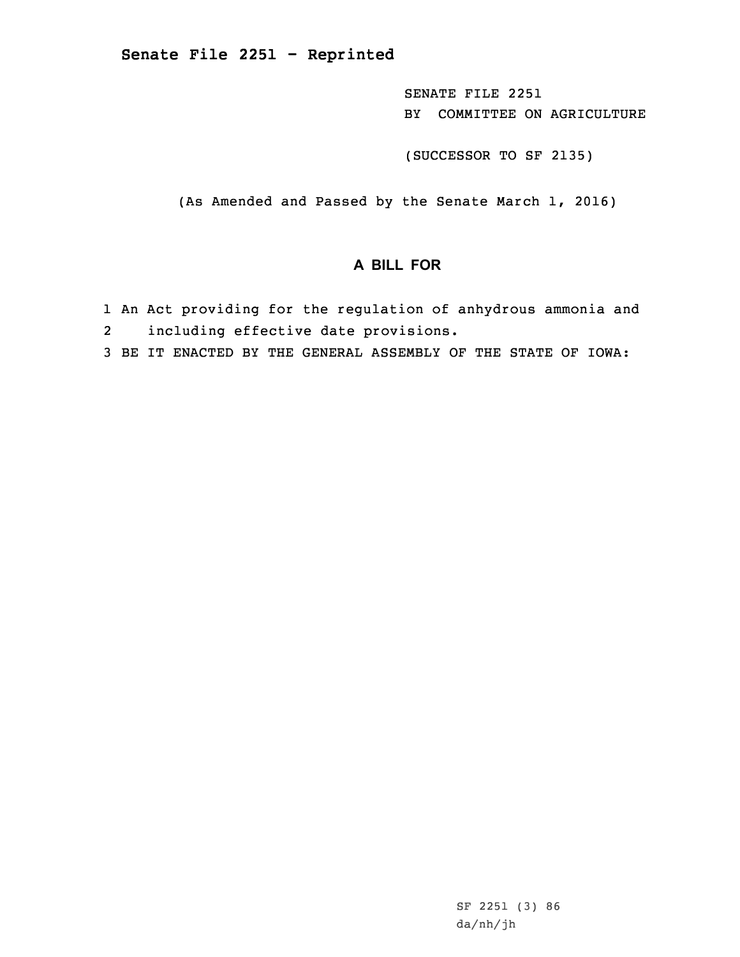SENATE FILE 2251 BY COMMITTEE ON AGRICULTURE

(SUCCESSOR TO SF 2135)

(As Amended and Passed by the Senate March 1, 2016)

## **A BILL FOR**

- 1 An Act providing for the regulation of anhydrous ammonia and
- 2including effective date provisions.
- 3 BE IT ENACTED BY THE GENERAL ASSEMBLY OF THE STATE OF IOWA: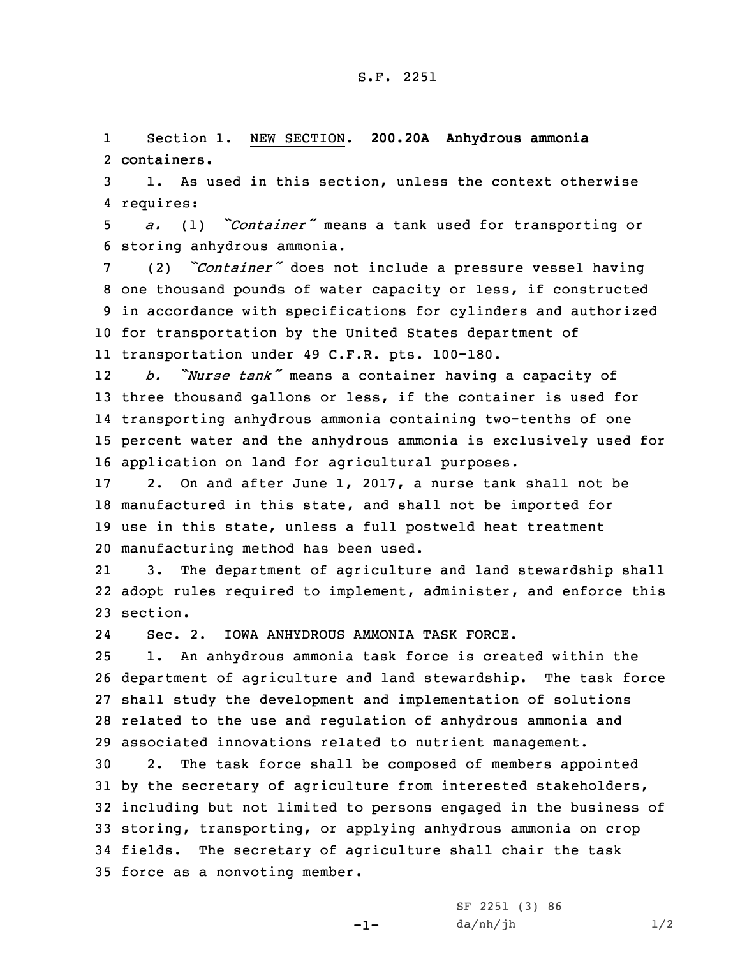## S.F. 2251

1 Section 1. NEW SECTION. **200.20A Anhydrous ammonia** 2 **containers.**

3 1. As used in this section, unless the context otherwise 4 requires:

<sup>5</sup> *a.* (1) *"Container"* means <sup>a</sup> tank used for transporting or 6 storing anhydrous ammonia.

 (2) *"Container"* does not include <sup>a</sup> pressure vessel having one thousand pounds of water capacity or less, if constructed in accordance with specifications for cylinders and authorized for transportation by the United States department of transportation under 49 C.F.R. pts. 100-180.

12 *b. "Nurse tank"* means <sup>a</sup> container having <sup>a</sup> capacity of three thousand gallons or less, if the container is used for transporting anhydrous ammonia containing two-tenths of one percent water and the anhydrous ammonia is exclusively used for application on land for agricultural purposes.

 2. On and after June 1, 2017, <sup>a</sup> nurse tank shall not be manufactured in this state, and shall not be imported for use in this state, unless <sup>a</sup> full postweld heat treatment manufacturing method has been used.

21 3. The department of agriculture and land stewardship shall 22 adopt rules required to implement, administer, and enforce this 23 section.

24Sec. 2. IOWA ANHYDROUS AMMONIA TASK FORCE.

 1. An anhydrous ammonia task force is created within the department of agriculture and land stewardship. The task force shall study the development and implementation of solutions related to the use and regulation of anhydrous ammonia and associated innovations related to nutrient management.

 2. The task force shall be composed of members appointed by the secretary of agriculture from interested stakeholders, including but not limited to persons engaged in the business of storing, transporting, or applying anhydrous ammonia on crop fields. The secretary of agriculture shall chair the task force as <sup>a</sup> nonvoting member.

 $-1-$ 

SF 2251 (3) 86  $da/nh/jh$   $1/2$